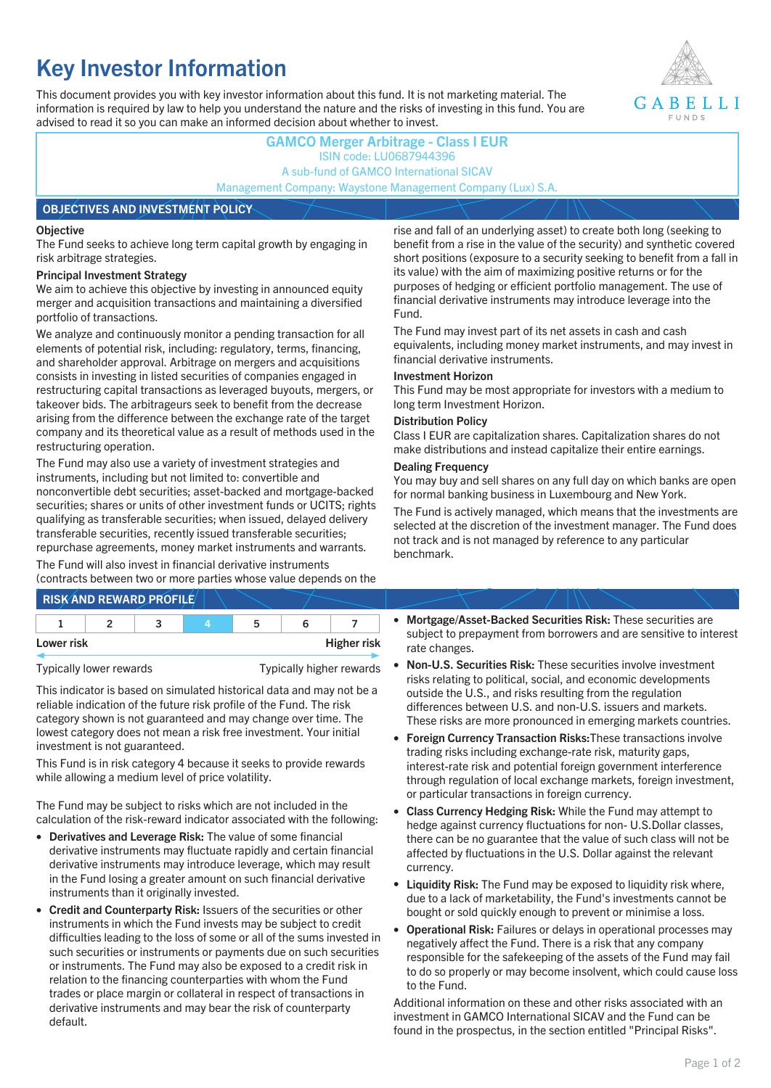# **Key Investor Information**

This document provides you with key investor information about this fund. It is not marketing material. The information is required by law to help you understand the nature and the risks of investing in this fund. You are advised to read it so you can make an informed decision about whether to invest.



## **GAMCO Merger Arbitrage - Class I EUR** ISIN code: LU0687944396 A sub-fund of GAMCO International SICAV Management Company: Waystone Management Company (Lux) S.A. **OBJECTIVES AND INVESTMENT POLICY**

### **Objective**

The Fund seeks to achieve long term capital growth by engaging in risk arbitrage strategies.

### **Principal Investment Strategy**

We aim to achieve this objective by investing in announced equity merger and acquisition transactions and maintaining a diversified portfolio of transactions.

We analyze and continuously monitor a pending transaction for all elements of potential risk, including: regulatory, terms, financing, and shareholder approval. Arbitrage on mergers and acquisitions consists in investing in listed securities of companies engaged in restructuring capital transactions as leveraged buyouts, mergers, or takeover bids. The arbitrageurs seek to benefit from the decrease arising from the difference between the exchange rate of the target company and its theoretical value as a result of methods used in the restructuring operation.

The Fund may also use a variety of investment strategies and instruments, including but not limited to: convertible and nonconvertible debt securities; asset-backed and mortgage-backed securities; shares or units of other investment funds or UCITS; rights qualifying as transferable securities; when issued, delayed delivery transferable securities, recently issued transferable securities; repurchase agreements, money market instruments and warrants.

The Fund will also invest in financial derivative instruments (contracts between two or more parties whose value depends on the

|            | <b>RISK AND REWARD PROFILE</b> |    |                    |
|------------|--------------------------------|----|--------------------|
|            |                                | 'n |                    |
| Lower risk |                                |    | <b>Higher risk</b> |

Typically lower rewards Typically higher rewards

This indicator is based on simulated historical data and may not be a reliable indication of the future risk profile of the Fund. The risk category shown is not guaranteed and may change over time. The lowest category does not mean a risk free investment. Your initial investment is not guaranteed.

This Fund is in risk category 4 because it seeks to provide rewards while allowing a medium level of price volatility.

The Fund may be subject to risks which are not included in the calculation of the risk-reward indicator associated with the following:

- **Derivatives and Leverage Risk:** The value of some financial derivative instruments may fluctuate rapidly and certain financial derivative instruments may introduce leverage, which may result in the Fund losing a greater amount on such financial derivative instruments than it originally invested.
- **Credit and Counterparty Risk:** Issuers of the securities or other instruments in which the Fund invests may be subject to credit difficulties leading to the loss of some or all of the sums invested in such securities or instruments or payments due on such securities or instruments. The Fund may also be exposed to a credit risk in relation to the financing counterparties with whom the Fund trades or place margin or collateral in respect of transactions in derivative instruments and may bear the risk of counterparty default.

rise and fall of an underlying asset) to create both long (seeking to benefit from a rise in the value of the security) and synthetic covered short positions (exposure to a security seeking to benefit from a fall in its value) with the aim of maximizing positive returns or for the purposes of hedging or efficient portfolio management. The use of financial derivative instruments may introduce leverage into the Fund.

The Fund may invest part of its net assets in cash and cash equivalents, including money market instruments, and may invest in financial derivative instruments.

### **Investment Horizon**

This Fund may be most appropriate for investors with a medium to long term Investment Horizon.

### **Distribution Policy**

Class I EUR are capitalization shares. Capitalization shares do not make distributions and instead capitalize their entire earnings.

### **Dealing Frequency**

You may buy and sell shares on any full day on which banks are open for normal banking business in Luxembourg and New York.

The Fund is actively managed, which means that the investments are selected at the discretion of the investment manager. The Fund does not track and is not managed by reference to any particular benchmark.

- **Mortgage/Asset-Backed Securities Risk:** These securities are subject to prepayment from borrowers and are sensitive to interest rate changes.
- **Non-U.S. Securities Risk:** These securities involve investment risks relating to political, social, and economic developments outside the U.S., and risks resulting from the regulation differences between U.S. and non-U.S. issuers and markets. These risks are more pronounced in emerging markets countries.
- **Foreign Currency Transaction Risks:**These transactions involve trading risks including exchange-rate risk, maturity gaps, interest-rate risk and potential foreign government interference through regulation of local exchange markets, foreign investment, or particular transactions in foreign currency.
- **Class Currency Hedging Risk:** While the Fund may attempt to hedge against currency fluctuations for non- U.S.Dollar classes, there can be no guarantee that the value of such class will not be affected by fluctuations in the U.S. Dollar against the relevant currency.
- **Liquidity Risk:** The Fund may be exposed to liquidity risk where, due to a lack of marketability, the Fund's investments cannot be bought or sold quickly enough to prevent or minimise a loss.
- **Operational Risk:** Failures or delays in operational processes may negatively affect the Fund. There is a risk that any company responsible for the safekeeping of the assets of the Fund may fail to do so properly or may become insolvent, which could cause loss to the Fund.

Additional information on these and other risks associated with an investment in GAMCO International SICAV and the Fund can be found in the prospectus, in the section entitled "Principal Risks".